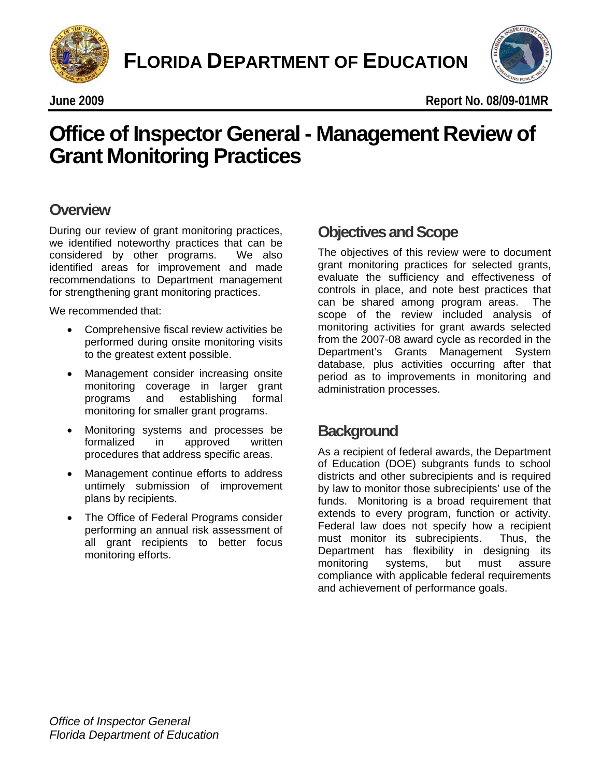



# **Office of Inspector General - Management Review of<br>Grant Monitoring Practices Grant Monitoring Practices**

### **Overview**

During our review of grant monitoring practices, we identified noteworthy practices that can be considered by other programs. We also identified areas for improvement and made recommendations to Department management for strengthening grant monitoring practices.

We recommended that:

- Comprehensive fiscal review activities be performed during onsite monitoring visits to the greatest extent possible.
- Management consider increasing onsite monitoring coverage in larger grant programs and establishing formal monitoring for smaller grant programs.
- • Monitoring systems and processes be formalized in approved written procedures that address specific areas.
- Management continue efforts to address untimely submission of improvement plans by recipients.
- The Office of Federal Programs consider performing an annual risk assessment of all grant recipients to better focus monitoring efforts.

### **Objectives and Scope**

The objectives of this review were to document grant monitoring practices for selected grants, evaluate the sufficiency and effectiveness of controls in place, and note best practices that can be shared among program areas. The scope of the review included analysis of monitoring activities for grant awards selected from the 2007-08 award cycle as recorded in the Department's Grants Management System database, plus activities occurring after that period as to improvements in monitoring and administration processes.

### **Background**

As a recipient of federal awards, the Department of Education (DOE) subgrants funds to school districts and other subrecipients and is required by law to monitor those subrecipients' use of the funds. Monitoring is a broad requirement that extends to every program, function or activity. Federal law does not specify how a recipient must monitor its subrecipients. Thus, the Department has flexibility in designing its monitoring systems, but must assure compliance with applicable federal requirements and achievement of performance goals.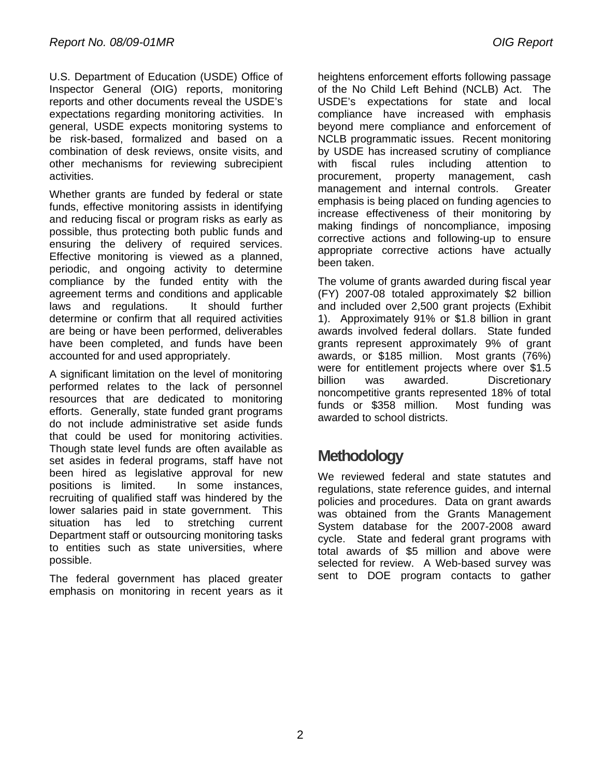U.S. Department of Education (USDE) Office of Inspector General (OIG) reports, monitoring reports and other documents reveal the USDE's expectations regarding monitoring activities. In general, USDE expects monitoring systems to be risk-based, formalized and based on a combination of desk reviews, onsite visits, and other mechanisms for reviewing subrecipient activities.

Whether grants are funded by federal or state funds, effective monitoring assists in identifying and reducing fiscal or program risks as early as possible, thus protecting both public funds and ensuring the delivery of required services. Effective monitoring is viewed as a planned, periodic, and ongoing activity to determine compliance by the funded entity with the agreement terms and conditions and applicable laws and regulations. It should further determine or confirm that all required activities are being or have been performed, deliverables have been completed, and funds have been accounted for and used appropriately.

A significant limitation on the level of monitoring performed relates to the lack of personnel resources that are dedicated to monitoring efforts. Generally, state funded grant programs do not include administrative set aside funds that could be used for monitoring activities. Though state level funds are often available as set asides in federal programs, staff have not been hired as legislative approval for new positions is limited. In some instances, recruiting of qualified staff was hindered by the lower salaries paid in state government. This situation has led to stretching current Department staff or outsourcing monitoring tasks to entities such as state universities, where possible.

The federal government has placed greater emphasis on monitoring in recent years as it heightens enforcement efforts following passage of the No Child Left Behind (NCLB) Act. The USDE's expectations for state and local compliance have increased with emphasis beyond mere compliance and enforcement of NCLB programmatic issues. Recent monitoring by USDE has increased scrutiny of compliance with fiscal rules including attention to procurement, property management, cash management and internal controls. Greater emphasis is being placed on funding agencies to increase effectiveness of their monitoring by making findings of noncompliance, imposing corrective actions and following-up to ensure appropriate corrective actions have actually been taken.

The volume of grants awarded during fiscal year (FY) 2007-08 totaled approximately \$2 billion and included over 2,500 grant projects (Exhibit 1). Approximately 91% or \$1.8 billion in grant awards involved federal dollars. State funded grants represent approximately 9% of grant awards, or \$185 million. Most grants (76%) were for entitlement projects where over \$1.5 billion was awarded. Discretionary noncompetitive grants represented 18% of total funds or \$358 million. Most funding was awarded to school districts.

## **Methodology**

We reviewed federal and state statutes and regulations, state reference guides, and internal policies and procedures. Data on grant awards was obtained from the Grants Management System database for the 2007-2008 award cycle. State and federal grant programs with total awards of \$5 million and above were selected for review. A Web-based survey was sent to DOE program contacts to gather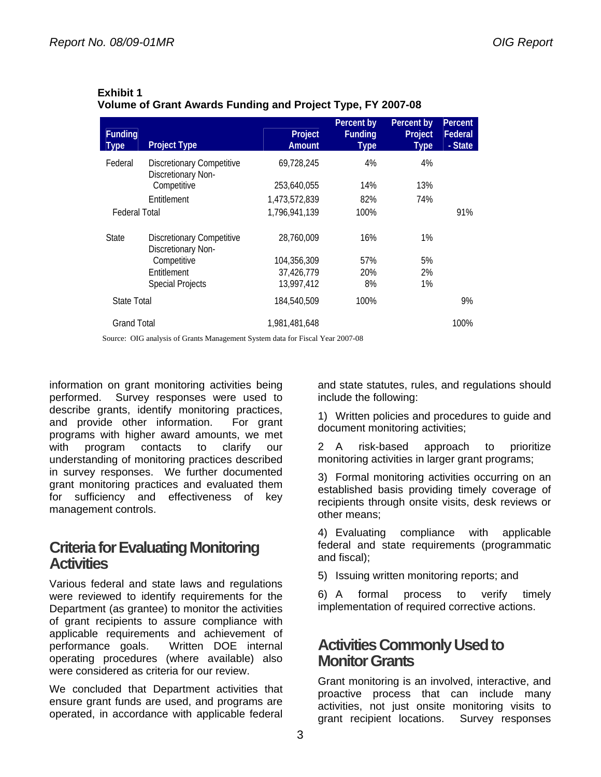| <b>Funding</b><br><b>Type</b> | <b>Project Type</b>                                    | Project<br>Amount | Percent by<br><b>Funding</b><br><b>Type</b> | Percent by<br>Project<br><b>Type</b> | Percent<br>Federal<br>- State |
|-------------------------------|--------------------------------------------------------|-------------------|---------------------------------------------|--------------------------------------|-------------------------------|
| Federal                       | <b>Discretionary Competitive</b><br>Discretionary Non- | 69,728,245        | 4%                                          | 4%                                   |                               |
|                               | Competitive                                            | 253,640,055       | 14%                                         | 13%                                  |                               |
|                               | Entitlement                                            | 1,473,572,839     | 82%                                         | 74%                                  |                               |
| <b>Federal Total</b>          |                                                        | 1.796.941.139     | 100%                                        |                                      | 91%                           |
| <b>State</b>                  | <b>Discretionary Competitive</b><br>Discretionary Non- | 28.760.009        | 16%                                         | 1%                                   |                               |
|                               | Competitive                                            | 104,356,309       | 57%                                         | 5%                                   |                               |
|                               | Entitlement                                            | 37,426,779        | 20%                                         | 2%                                   |                               |
|                               | <b>Special Projects</b>                                | 13,997,412        | 8%                                          | $1\%$                                |                               |
| <b>State Total</b>            |                                                        | 184,540,509       | 100%                                        |                                      | 9%                            |
| <b>Grand Total</b>            |                                                        | 1,981,481,648     |                                             |                                      | 100%                          |

#### **Exhibit 1 Volume of Grant Awards Funding and Project Type, FY 2007-08**

Source: OIG analysis of Grants Management System data for Fiscal Year 2007-08

information on grant monitoring activities being performed. Survey responses were used to describe grants, identify monitoring practices, and provide other information. For grant programs with higher award amounts, we met with program contacts to clarify our understanding of monitoring practices described in survey responses. We further documented grant monitoring practices and evaluated them for sufficiency and effectiveness of key management controls.

### **Criteria for Evaluating Monitoring Activities**

Various federal and state laws and regulations were reviewed to identify requirements for the Department (as grantee) to monitor the activities of grant recipients to assure compliance with applicable requirements and achievement of performance goals. Written DOE internal operating procedures (where available) also were considered as criteria for our review.

We concluded that Department activities that ensure grant funds are used, and programs are operated, in accordance with applicable federal

and state statutes, rules, and regulations should include the following:

1) Written policies and procedures to guide and document monitoring activities;

2 A risk-based approach to prioritize monitoring activities in larger grant programs;

3) Formal monitoring activities occurring on an established basis providing timely coverage of recipients through onsite visits, desk reviews or other means;

4) Evaluating compliance with applicable federal and state requirements (programmatic and fiscal);

5) Issuing written monitoring reports; and

6) A formal process to verify timely implementation of required corrective actions.

### **Activities Commonly Used to Monitor Grants**

Grant monitoring is an involved, interactive, and proactive process that can include many activities, not just onsite monitoring visits to grant recipient locations. Survey responses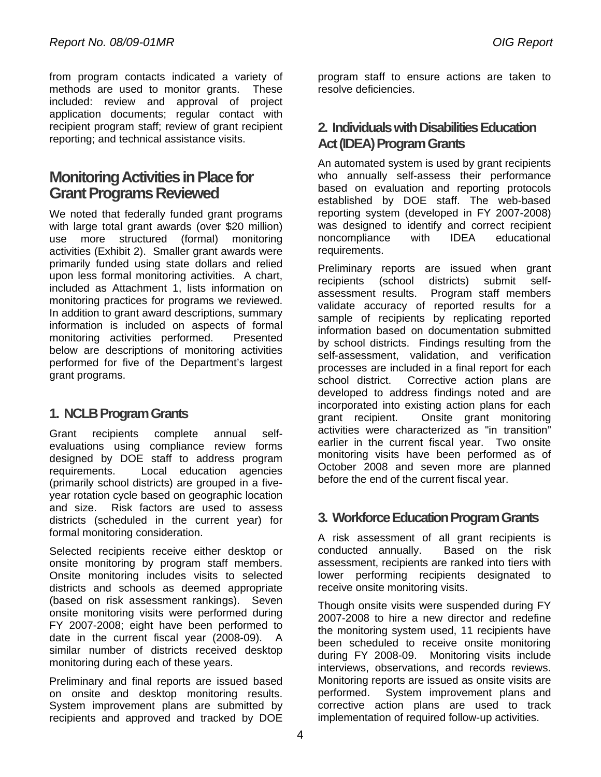from program contacts indicated a variety of methods are used to monitor grants. These included: review and approval of project application documents; regular contact with recipient program staff; review of grant recipient reporting; and technical assistance visits.

### **Monitoring Activities in Place for Grant Programs Reviewed**

monitoring practices for programs we reviewed. We noted that federally funded grant programs with large total grant awards (over \$20 million) use more structured (formal) monitoring activities (Exhibit 2). Smaller grant awards were primarily funded using state dollars and relied upon less formal monitoring activities. A chart, included as Attachment 1, lists information on In addition to grant award descriptions, summary information is included on aspects of formal monitoring activities performed. Presented below are descriptions of monitoring activities performed for five of the Department's largest grant programs.

### **1. NCLB Program Grants**

Grant recipients complete annual selfevaluations using compliance review forms designed by DOE staff to address program requirements. Local education agencies (primarily school districts) are grouped in a fiveyear rotation cycle based on geographic location and size. Risk factors are used to assess districts (scheduled in the current year) for formal monitoring consideration.

Selected recipients receive either desktop or onsite monitoring by program staff members. Onsite monitoring includes visits to selected districts and schools as deemed appropriate (based on risk assessment rankings). Seven onsite monitoring visits were performed during FY 2007-2008; eight have been performed to date in the current fiscal year (2008-09). A similar number of districts received desktop monitoring during each of these years.

Preliminary and final reports are issued based on onsite and desktop monitoring results. System improvement plans are submitted by recipients and approved and tracked by DOE

program staff to ensure actions are taken to resolve deficiencies.

### **2. Individuals with Disabilities Education Act (IDEA) Program Grants**

An automated system is used by grant recipients who annually self-assess their performance based on evaluation and reporting protocols established by DOE staff. The web-based reporting system (developed in FY 2007-2008) was designed to identify and correct recipient noncompliance with IDEA educational requirements.

Preliminary reports are issued when grant recipients (school districts) submit selfassessment results. Program staff members validate accuracy of reported results for a sample of recipients by replicating reported information based on documentation submitted by school districts. Findings resulting from the self-assessment, validation, and verification processes are included in a final report for each school district. Corrective action plans are developed to address findings noted and are incorporated into existing action plans for each grant recipient. Onsite grant monitoring activities were characterized as "in transition" earlier in the current fiscal year. Two onsite monitoring visits have been performed as of October 2008 and seven more are planned before the end of the current fiscal year.

### **3. Workforce Education Program Grants**

A risk assessment of all grant recipients is conducted annually. Based on the risk assessment, recipients are ranked into tiers with lower performing recipients designated to receive onsite monitoring visits.

interviews, observations, and records reviews. Though onsite visits were suspended during FY 2007-2008 to hire a new director and redefine the monitoring system used, 11 recipients have been scheduled to receive onsite monitoring during FY 2008-09. Monitoring visits include Monitoring reports are issued as onsite visits are performed. System improvement plans and corrective action plans are used to track implementation of required follow-up activities.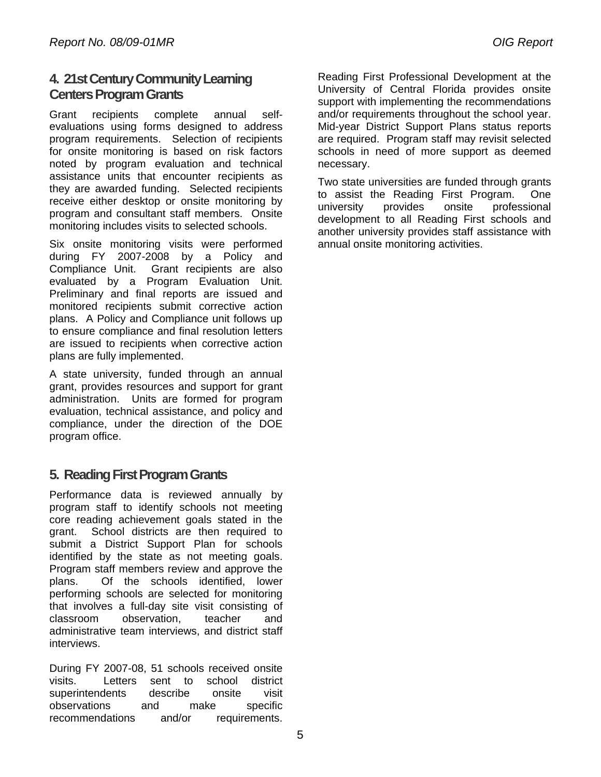### **4. 21st Century Community Learning Centers Program Grants**

Grant recipients complete annual selfevaluations using forms designed to address program requirements. Selection of recipients for onsite monitoring is based on risk factors noted by program evaluation and technical assistance units that encounter recipients as they are awarded funding. Selected recipients receive either desktop or onsite monitoring by program and consultant staff members. Onsite monitoring includes visits to selected schools.

Six onsite monitoring visits were performed during FY 2007-2008 by a Policy and Compliance Unit. Grant recipients are also evaluated by a Program Evaluation Unit. Preliminary and final reports are issued and monitored recipients submit corrective action plans. A Policy and Compliance unit follows up to ensure compliance and final resolution letters are issued to recipients when corrective action plans are fully implemented.

A state university, funded through an annual grant, provides resources and support for grant administration. Units are formed for program evaluation, technical assistance, and policy and compliance, under the direction of the DOE program office.

### **5. Reading First Program Grants**

identified by the state as not meeting goals. Performance data is reviewed annually by program staff to identify schools not meeting core reading achievement goals stated in the grant. School districts are then required to submit a District Support Plan for schools Program staff members review and approve the plans. Of the schools identified, lower performing schools are selected for monitoring that involves a full-day site visit consisting of classroom observation, teacher and administrative team interviews, and district staff interviews.

During FY 2007-08, 51 schools received onsite visits. Letters sent to school district superintendents describe onsite visit observations and make specific recommendations and/or requirements.

Reading First Professional Development at the University of Central Florida provides onsite support with implementing the recommendations and/or requirements throughout the school year. Mid-year District Support Plans status reports are required. Program staff may revisit selected schools in need of more support as deemed necessary.

Two state universities are funded through grants to assist the Reading First Program. One university provides onsite professional development to all Reading First schools and another university provides staff assistance with annual onsite monitoring activities.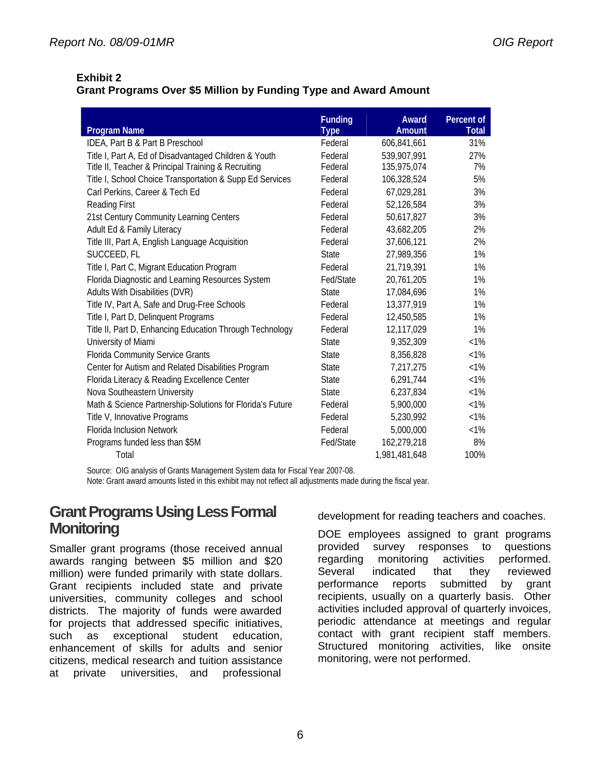### **Exhibit 2**

#### **Grant Programs Over \$5 Million by Funding Type and Award Amount**

|                                                           | <b>Funding</b> | Award         | Percent of   |
|-----------------------------------------------------------|----------------|---------------|--------------|
| <b>Program Name</b>                                       | <b>Type</b>    | Amount        | <b>Total</b> |
| IDEA, Part B & Part B Preschool                           | Federal        | 606,841,661   | 31%          |
| Title I, Part A, Ed of Disadvantaged Children & Youth     | Federal        | 539,907,991   | 27%          |
| Title II, Teacher & Principal Training & Recruiting       | Federal        | 135,975,074   | 7%           |
| Title I, School Choice Transportation & Supp Ed Services  | Federal        | 106,328,524   | 5%           |
| Carl Perkins, Career & Tech Ed                            | Federal        | 67,029,281    | 3%           |
| Reading First                                             | Federal        | 52,126,584    | 3%           |
| 21st Century Community Learning Centers                   | Federal        | 50,617,827    | 3%           |
| Adult Ed & Family Literacy                                | Federal        | 43,682,205    | 2%           |
| Title III, Part A, English Language Acquisition           | Federal        | 37,606,121    | 2%           |
| SUCCEED, FL                                               | <b>State</b>   | 27,989,356    | 1%           |
| Title I, Part C, Migrant Education Program                | Federal        | 21,719,391    | 1%           |
| Florida Diagnostic and Learning Resources System          | Fed/State      | 20,761,205    | 1%           |
| Adults With Disabilities (DVR)                            | <b>State</b>   | 17,084,696    | 1%           |
| Title IV, Part A, Safe and Drug-Free Schools              | Federal        | 13,377,919    | 1%           |
| Title I, Part D, Delinquent Programs                      | Federal        | 12,450,585    | 1%           |
| Title II, Part D, Enhancing Education Through Technology  | Federal        | 12,117,029    | 1%           |
| University of Miami                                       | <b>State</b>   | 9,352,309     | $<1\%$       |
| Florida Community Service Grants                          | <b>State</b>   | 8,356,828     | $< 1\%$      |
| Center for Autism and Related Disabilities Program        | <b>State</b>   | 7,217,275     | $< 1\%$      |
| Florida Literacy & Reading Excellence Center              | <b>State</b>   | 6,291,744     | $<1\%$       |
| Nova Southeastern University                              | <b>State</b>   | 6,237,834     | $< 1\%$      |
| Math & Science Partnership-Solutions for Florida's Future | Federal        | 5,900,000     | $< 1\%$      |
| Title V, Innovative Programs                              | Federal        | 5,230,992     | $<1\%$       |
| <b>Florida Inclusion Network</b>                          | Federal        | 5,000,000     | $<1\%$       |
| Programs funded less than \$5M                            | Fed/State      | 162,279,218   | 8%           |
| Total                                                     |                | 1,981,481,648 | 100%         |

Source: OIG analysis of Grants Management System data for Fiscal Year 2007-08.

Note: Grant award amounts listed in this exhibit may not reflect all adjustments made during the fiscal year.

### **Grant Programs Using Less Formal Monitoring**

Smaller grant programs (those received annual awards ranging between \$5 million and \$20 million) were funded primarily with state dollars. Grant recipients included state and private universities, community colleges and school districts. The majority of funds were awarded for projects that addressed specific initiatives, such as exceptional student education, enhancement of skills for adults and senior citizens, medical research and tuition assistance at private universities, and professional

development for reading teachers and coaches.

DOE employees assigned to grant programs provided survey responses to questions regarding monitoring activities performed. Several indicated that they reviewed performance reports submitted by grant recipients, usually on a quarterly basis. Other activities included approval of quarterly invoices, periodic attendance at meetings and regular contact with grant recipient staff members. Structured monitoring activities, like onsite monitoring, were not performed.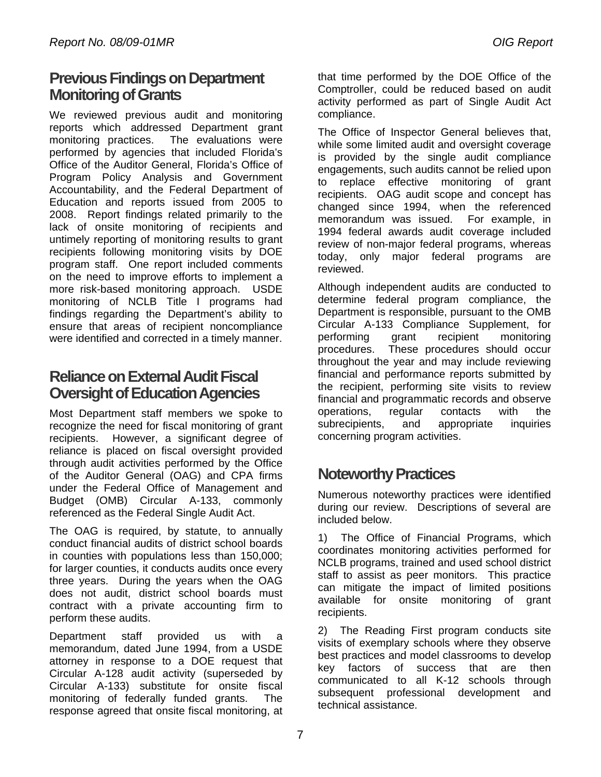### **Previous Findings on Department Monitoring of Grants**

We reviewed previous audit and monitoring reports which addressed Department grant monitoring practices. The evaluations were performed by agencies that included Florida's Office of the Auditor General, Florida's Office of Program Policy Analysis and Government Accountability, and the Federal Department of Education and reports issued from 2005 to 2008. Report findings related primarily to the lack of onsite monitoring of recipients and untimely reporting of monitoring results to grant recipients following monitoring visits by DOE program staff. One report included comments on the need to improve efforts to implement a more risk-based monitoring approach. USDE monitoring of NCLB Title I programs had findings regarding the Department's ability to ensure that areas of recipient noncompliance were identified and corrected in a timely manner.

### **Reliance on External Audit Fiscal Oversight of Education Agencies**

Most Department staff members we spoke to recognize the need for fiscal monitoring of grant recipients. However, a significant degree of reliance is placed on fiscal oversight provided through audit activities performed by the Office of the Auditor General (OAG) and CPA firms under the Federal Office of Management and Budget (OMB) Circular A-133, commonly referenced as the Federal Single Audit Act.

The OAG is required, by statute, to annually conduct financial audits of district school boards in counties with populations less than 150,000; for larger counties, it conducts audits once every three years. During the years when the OAG does not audit, district school boards must contract with a private accounting firm to perform these audits.

Department staff provided us with a memorandum, dated June 1994, from a USDE attorney in response to a DOE request that Circular A-128 audit activity (superseded by Circular A-133) substitute for onsite fiscal monitoring of federally funded grants. The response agreed that onsite fiscal monitoring, at

that time performed by the DOE Office of the Comptroller, could be reduced based on audit activity performed as part of Single Audit Act compliance.

The Office of Inspector General believes that, while some limited audit and oversight coverage is provided by the single audit compliance engagements, such audits cannot be relied upon to replace effective monitoring of grant recipients. OAG audit scope and concept has changed since 1994, when the referenced memorandum was issued. For example, in 1994 federal awards audit coverage included review of non-major federal programs, whereas today, only major federal programs are reviewed.

Although independent audits are conducted to determine federal program compliance, the Department is responsible, pursuant to the OMB Circular A-133 Compliance Supplement, for performing grant recipient monitoring procedures. These procedures should occur throughout the year and may include reviewing financial and performance reports submitted by the recipient, performing site visits to review financial and programmatic records and observe operations, regular contacts with the subrecipients, and appropriate inquiries concerning program activities.

### **Noteworthy Practices**

Numerous noteworthy practices were identified during our review. Descriptions of several are included below.

1) The Office of Financial Programs, which coordinates monitoring activities performed for NCLB programs, trained and used school district staff to assist as peer monitors. This practice can mitigate the impact of limited positions available for onsite monitoring of grant recipients.

2) The Reading First program conducts site visits of exemplary schools where they observe best practices and model classrooms to develop key factors of success that are then communicated to all K-12 schools through subsequent professional development and technical assistance.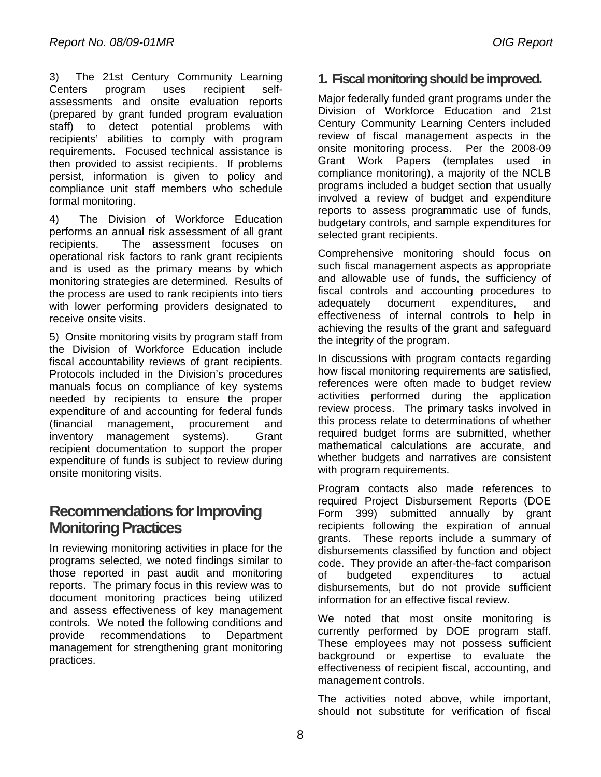3) The 21st Century Community Learning Centers program uses recipient selfassessments and onsite evaluation reports (prepared by grant funded program evaluation staff) to detect potential problems with recipients' abilities to comply with program requirements. Focused technical assistance is then provided to assist recipients. If problems persist, information is given to policy and compliance unit staff members who schedule formal monitoring.

4) The Division of Workforce Education performs an annual risk assessment of all grant recipients. The assessment focuses on operational risk factors to rank grant recipients and is used as the primary means by which monitoring strategies are determined. Results of the process are used to rank recipients into tiers with lower performing providers designated to receive onsite visits.

fiscal accountability reviews of grant recipients. 5) Onsite monitoring visits by program staff from the Division of Workforce Education include Protocols included in the Division's procedures. manuals focus on compliance of key systems needed by recipients to ensure the proper expenditure of and accounting for federal funds (financial management, procurement and inventory management systems). Grant recipient documentation to support the proper expenditure of funds is subject to review during onsite monitoring visits. 3) The 21st Century Century Learning in the Fiscal monitoring should be improved.<br>
2011 The 21st Century Century Community Learning Century and the improved. Bottlet in the century community Learning Century and 21st Centu

### **Recommendations for Improving Monitoring Practices**

practices. In reviewing monitoring activities in place for the programs selected, we noted findings similar to those reported in past audit and monitoring reports. The primary focus in this review was to document monitoring practices being utilized and assess effectiveness of key management controls. We noted the following conditions and provide recommendations to Department management for strengthening grant monitoring

Major federally funded grant programs under the Division of Workforce Education and 21st Century Community Learning Centers included review of fiscal management aspects in the onsite monitoring process. Per the 2008-09 Grant Work Papers (templates used in compliance monitoring), a majority of the NCLB programs included a budget section that usually involved a review of budget and expenditure reports to assess programmatic use of funds, budgetary controls, and sample expenditures for selected grant recipients.

Comprehensive monitoring should focus on such fiscal management aspects as appropriate and allowable use of funds, the sufficiency of fiscal controls and accounting procedures to adequately document expenditures, and effectiveness of internal controls to help in achieving the results of the grant and safeguard the integrity of the program.

In discussions with program contacts regarding how fiscal monitoring requirements are satisfied, references were often made to budget review activities performed during the application review process. The primary tasks involved in this process relate to determinations of whether required budget forms are submitted, whether mathematical calculations are accurate, and whether budgets and narratives are consistent with program requirements.

Program contacts also made references to required Project Disbursement Reports (DOE Form 399) submitted annually by grant recipients following the expiration of annual grants. These reports include a summary of disbursements classified by function and object code. They provide an after-the-fact comparison of budgeted expenditures to actual disbursements, but do not provide sufficient information for an effective fiscal review.

We noted that most onsite monitoring is currently performed by DOE program staff. These employees may not possess sufficient background or expertise to evaluate the effectiveness of recipient fiscal, accounting, and management controls.

The activities noted above, while important, should not substitute for verification of fiscal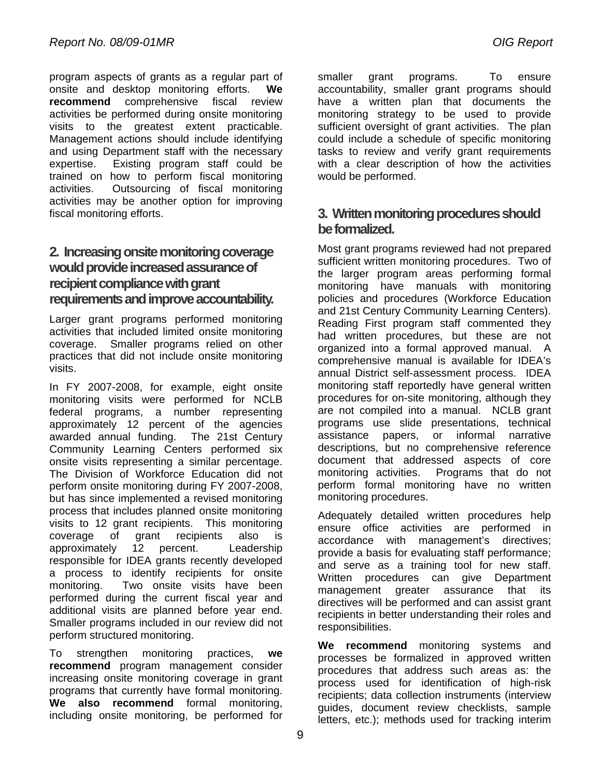program aspects of grants as a regular part of onsite and desktop monitoring efforts. **We recommend** comprehensive fiscal review activities be performed during onsite monitoring visits to the greatest extent practicable. Management actions should include identifying and using Department staff with the necessary expertise. Existing program staff could be trained on how to perform fiscal monitoring activities. Outsourcing of fiscal monitoring activities may be another option for improving fiscal monitoring efforts.

### **requirements and improve accountability. 2. Increasing onsite monitoring coverage would provide increased assurance of recipient compliance with grant**

Larger grant programs performed monitoring activities that included limited onsite monitoring coverage. Smaller programs relied on other practices that did not include onsite monitoring visits.

In FY 2007-2008, for example, eight onsite monitoring visits were performed for NCLB federal programs, a number representing approximately 12 percent of the agencies awarded annual funding. The 21st Century Community Learning Centers performed six onsite visits representing a similar percentage. The Division of Workforce Education did not perform onsite monitoring during FY 2007-2008, but has since implemented a revised monitoring process that includes planned onsite monitoring visits to 12 grant recipients. This monitoring coverage of grant recipients also is approximately 12 percent. Leadership responsible for IDEA grants recently developed a process to identify recipients for onsite monitoring. Two onsite visits have been performed during the current fiscal year and additional visits are planned before year end. Smaller programs included in our review did not perform structured monitoring.

To strengthen monitoring practices, **we recommend** program management consider increasing onsite monitoring coverage in grant programs that currently have formal monitoring. **We also recommend** formal monitoring, including onsite monitoring, be performed for

smaller grant programs. To ensure accountability, smaller grant programs should have a written plan that documents the monitoring strategy to be used to provide sufficient oversight of grant activities. The plan could include a schedule of specific monitoring tasks to review and verify grant requirements with a clear description of how the activities would be performed.

### **3. Written monitoring procedures should be formalized.**

Most grant programs reviewed had not prepared sufficient written monitoring procedures. Two of the larger program areas performing formal monitoring have manuals with monitoring policies and procedures (Workforce Education and 21st Century Community Learning Centers). Reading First program staff commented they had written procedures, but these are not organized into a formal approved manual. A comprehensive manual is available for IDEA's annual District self-assessment process. IDEA monitoring staff reportedly have general written procedures for on-site monitoring, although they are not compiled into a manual. NCLB grant programs use slide presentations, technical assistance papers, or informal narrative descriptions, but no comprehensive reference document that addressed aspects of core monitoring activities. Programs that do not perform formal monitoring have no written monitoring procedures.

Adequately detailed written procedures help ensure office activities are performed in accordance with management's directives; provide a basis for evaluating staff performance; and serve as a training tool for new staff. Written procedures can give Department management greater assurance that its directives will be performed and can assist grant recipients in better understanding their roles and responsibilities.

**We recommend** monitoring systems and processes be formalized in approved written procedures that address such areas as: the process used for identification of high-risk recipients; data collection instruments (interview guides, document review checklists, sample letters, etc.); methods used for tracking interim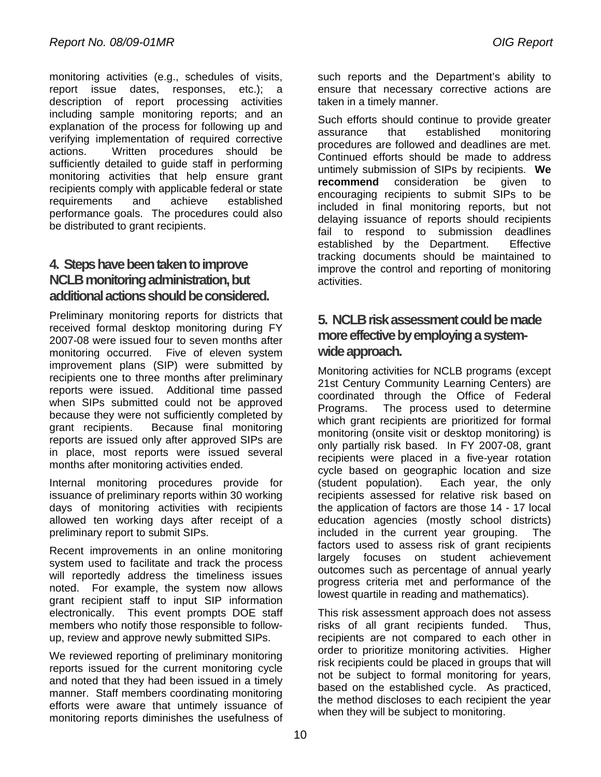be distributed to grant recipients. monitoring activities (e.g., schedules of visits, report issue dates, responses, etc.); a description of report processing activities including sample monitoring reports; and an explanation of the process for following up and verifying implementation of required corrective actions. Written procedures should be sufficiently detailed to guide staff in performing monitoring activities that help ensure grant recipients comply with applicable federal or state requirements and achieve established performance goals. The procedures could also

### **4. Steps have been taken to improve NCLB monitoring administration, but additional actions should be considered.**

Preliminary monitoring reports for districts that received formal desktop monitoring during FY 2007-08 were issued four to seven months after monitoring occurred. Five of eleven system improvement plans (SIP) were submitted by recipients one to three months after preliminary reports were issued. Additional time passed when SIPs submitted could not be approved because they were not sufficiently completed by grant recipients. Because final monitoring reports are issued only after approved SIPs are in place, most reports were issued several months after monitoring activities ended.

Internal monitoring procedures provide for issuance of preliminary reports within 30 working days of monitoring activities with recipients allowed ten working days after receipt of a preliminary report to submit SIPs.

Recent improvements in an online monitoring system used to facilitate and track the process will reportedly address the timeliness issues noted. For example, the system now allows grant recipient staff to input SIP information electronically. This event prompts DOE staff members who notify those responsible to followup, review and approve newly submitted SIPs.

We reviewed reporting of preliminary monitoring reports issued for the current monitoring cycle and noted that they had been issued in a timely manner. Staff members coordinating monitoring efforts were aware that untimely issuance of monitoring reports diminishes the usefulness of

such reports and the Department's ability to ensure that necessary corrective actions are taken in a timely manner.

procedures are followed and deadlines are met. untimely submission of SIPs by recipients. **We**  Such efforts should continue to provide greater assurance that established monitoring Continued efforts should be made to address **recommend** consideration be given to encouraging recipients to submit SIPs to be included in final monitoring reports, but not delaying issuance of reports should recipients fail to respond to submission deadlines established by the Department. Effective tracking documents should be maintained to improve the control and reporting of monitoring activities.

### **5. NCLB risk assessment could be made more effective by employing a systemwide approach.**

Monitoring activities for NCLB programs (except 21st Century Community Learning Centers) are coordinated through the Office of Federal Programs. The process used to determine which grant recipients are prioritized for formal monitoring (onsite visit or desktop monitoring) is only partially risk based. In FY 2007-08, grant recipients were placed in a five-year rotation cycle based on geographic location and size (student population). Each year, the only recipients assessed for relative risk based on the application of factors are those 14 - 17 local education agencies (mostly school districts) included in the current year grouping. The factors used to assess risk of grant recipients largely focuses on student achievement outcomes such as percentage of annual yearly progress criteria met and performance of the lowest quartile in reading and mathematics).

This risk assessment approach does not assess risks of all grant recipients funded. Thus, recipients are not compared to each other in order to prioritize monitoring activities. Higher risk recipients could be placed in groups that will not be subject to formal monitoring for years, based on the established cycle. As practiced, the method discloses to each recipient the year when they will be subject to monitoring.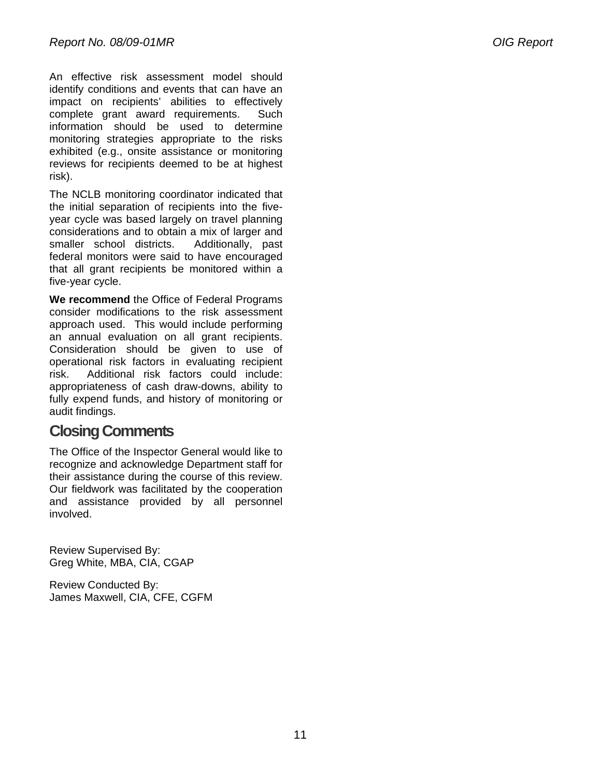An effective risk assessment model should identify conditions and events that can have an impact on recipients' abilities to effectively complete grant award requirements. Such information should be used to determine monitoring strategies appropriate to the risks exhibited (e.g., onsite assistance or monitoring reviews for recipients deemed to be at highest risk).

The NCLB monitoring coordinator indicated that the initial separation of recipients into the fiveyear cycle was based largely on travel planning considerations and to obtain a mix of larger and smaller school districts. Additionally, past federal monitors were said to have encouraged that all grant recipients be monitored within a five-year cycle.

**We recommend** the Office of Federal Programs consider modifications to the risk assessment approach used. This would include performing an annual evaluation on all grant recipients. Consideration should be given to use of operational risk factors in evaluating recipient risk. Additional risk factors could include: appropriateness of cash draw-downs, ability to fully expend funds, and history of monitoring or audit findings.

### **Closing Comments**

The Office of the Inspector General would like to recognize and acknowledge Department staff for their assistance during the course of this review. Our fieldwork was facilitated by the cooperation and assistance provided by all personnel involved.

Review Supervised By: Greg White, MBA, CIA, CGAP

Review Conducted By: James Maxwell, CIA, CFE, CGFM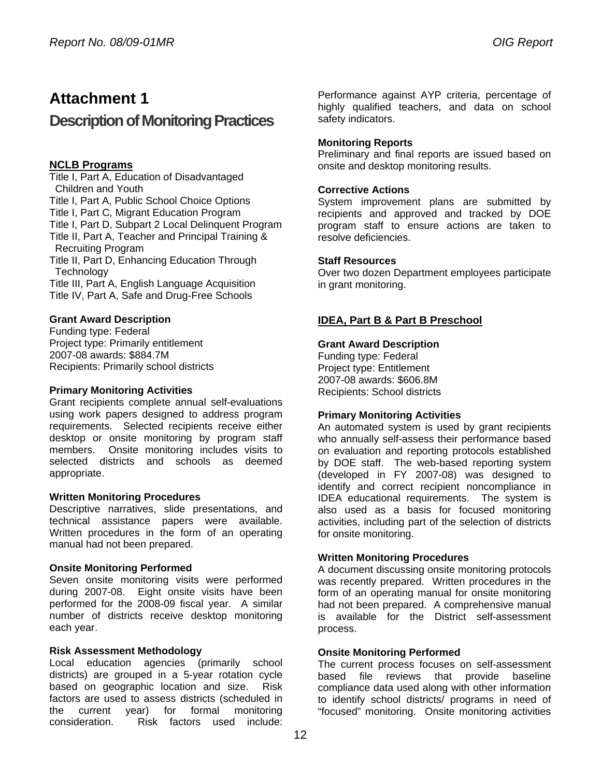### **Attachment 1**

### **Description of Monitoring Practices**

#### **NCLB Programs**

Title I, Part A, Education of Disadvantaged Children and Youth Title I, Part A, Public School Choice Options Title I, Part C, Migrant Education Program Title I, Part D, Subpart 2 Local Delinquent Program Title II, Part A, Teacher and Principal Training & Recruiting Program Title II, Part D, Enhancing Education Through **Technology** Title III, Part A, English Language Acquisition Title IV, Part A, Safe and Drug-Free Schools

#### **Grant Award Description**

Funding type: Federal Project type: Primarily entitlement 2007-08 awards: \$884.7M Recipients: Primarily school districts

#### **Primary Monitoring Activities**

Grant recipients complete annual self-evaluations using work papers designed to address program requirements. Selected recipients receive either desktop or onsite monitoring by program staff members. Onsite monitoring includes visits to selected districts and schools as deemed appropriate.

#### **Written Monitoring Procedures**

technical assistance papers were available. Descriptive narratives, slide presentations, and Written procedures in the form of an operating manual had not been prepared.

#### **Onsite Monitoring Performed**

Seven onsite monitoring visits were performed during 2007-08. Eight onsite visits have been performed for the 2008-09 fiscal year. A similar number of districts receive desktop monitoring each year.

#### **Risk Assessment Methodology**

Local education agencies (primarily school districts) are grouped in a 5-year rotation cycle based on geographic location and size. Risk factors are used to assess districts (scheduled in the current year) for formal monitoring consideration. Risk factors used include:

Performance against AYP criteria, percentage of highly qualified teachers, and data on school safety indicators.

#### **Monitoring Reports**

Preliminary and final reports are issued based on onsite and desktop monitoring results.

#### **Corrective Actions**

System improvement plans are submitted by recipients and approved and tracked by DOE program staff to ensure actions are taken to resolve deficiencies.

#### **Staff Resources**

Over two dozen Department employees participate in grant monitoring.

### **IDEA, Part B & Part B Preschool**

#### **Grant Award Description**

Funding type: Federal Project type: Entitlement 2007-08 awards: \$606.8M Recipients: School districts

#### **Primary Monitoring Activities**

An automated system is used by grant recipients who annually self-assess their performance based on evaluation and reporting protocols established by DOE staff. The web-based reporting system (developed in FY 2007-08) was designed to identify and correct recipient noncompliance in IDEA educational requirements. The system is also used as a basis for focused monitoring activities, including part of the selection of districts for onsite monitoring.

#### **Written Monitoring Procedures**

A document discussing onsite monitoring protocols was recently prepared. Written procedures in the form of an operating manual for onsite monitoring had not been prepared. A comprehensive manual is available for the District self-assessment process.

#### **Onsite Monitoring Performed**

The current process focuses on self-assessment based file reviews that provide baseline compliance data used along with other information to identify school districts/ programs in need of "focused" monitoring. Onsite monitoring activities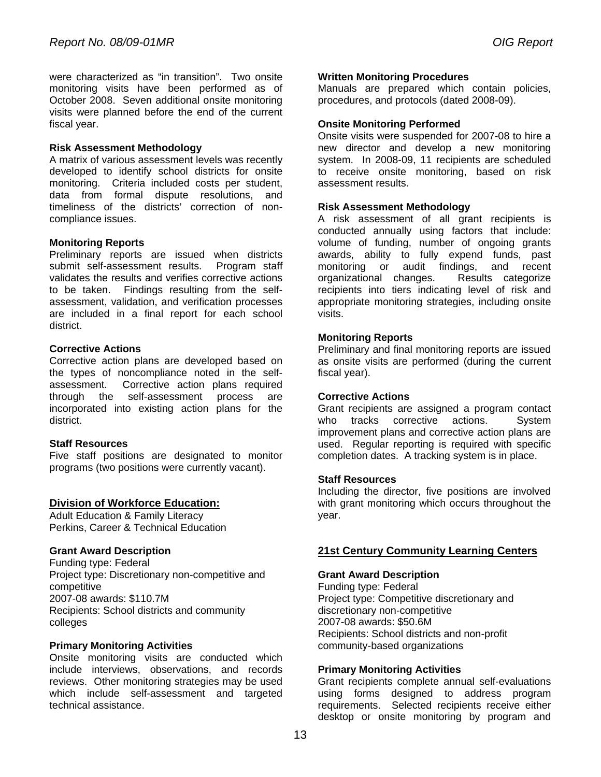were characterized as "in transition". Two onsite monitoring visits have been performed as of October 2008. Seven additional onsite monitoring visits were planned before the end of the current fiscal year.

#### **Risk Assessment Methodology**

A matrix of various assessment levels was recently developed to identify school districts for onsite monitoring. Criteria included costs per student, data from formal dispute resolutions, and timeliness of the districts' correction of noncompliance issues.

#### **Monitoring Reports**

Preliminary reports are issued when districts submit self-assessment results. Program staff validates the results and verifies corrective actions to be taken. Findings resulting from the selfassessment, validation, and verification processes are included in a final report for each school district.

#### **Corrective Actions**

Corrective action plans are developed based on the types of noncompliance noted in the selfassessment. Corrective action plans required through the self-assessment process are incorporated into existing action plans for the district.

#### **Staff Resources**

Five staff positions are designated to monitor programs (two positions were currently vacant).

#### **Division of Workforce Education:**

Adult Education & Family Literacy Perkins, Career & Technical Education

#### **Grant Award Description**

Funding type: Federal Project type: Discretionary non-competitive and competitive 2007-08 awards: \$110.7M Recipients: School districts and community colleges

#### **Primary Monitoring Activities**

Onsite monitoring visits are conducted which include interviews, observations, and records reviews. Other monitoring strategies may be used which include self-assessment and targeted technical assistance.

#### **Written Monitoring Procedures**

Manuals are prepared which contain policies, procedures, and protocols (dated 2008-09).

#### **Onsite Monitoring Performed**

 new director and develop a new monitoring Onsite visits were suspended for 2007-08 to hire a system. In 2008-09, 11 recipients are scheduled to receive onsite monitoring, based on risk assessment results.

#### **Risk Assessment Methodology**

A risk assessment of all grant recipients is conducted annually using factors that include: volume of funding, number of ongoing grants awards, ability to fully expend funds, past monitoring or audit findings, and recent organizational changes. Results categorize recipients into tiers indicating level of risk and appropriate monitoring strategies, including onsite visits.

#### **Monitoring Reports**

Preliminary and final monitoring reports are issued as onsite visits are performed (during the current fiscal year).

#### **Corrective Actions**

Grant recipients are assigned a program contact who tracks corrective actions. System improvement plans and corrective action plans are used. Regular reporting is required with specific completion dates. A tracking system is in place.

#### **Staff Resources**

Including the director, five positions are involved with grant monitoring which occurs throughout the year.

#### **21st Century Community Learning Centers**

#### **Grant Award Description**

Funding type: Federal Project type: Competitive discretionary and discretionary non-competitive 2007-08 awards: \$50.6M Recipients: School districts and non-profit community-based organizations

#### **Primary Monitoring Activities**

Grant recipients complete annual self-evaluations using forms designed to address program requirements. Selected recipients receive either desktop or onsite monitoring by program and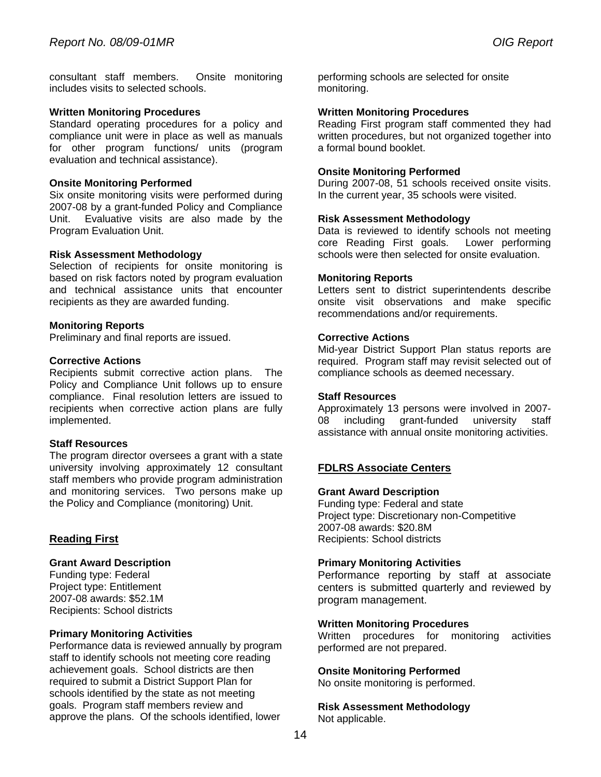consultant staff members. Onsite monitoring includes visits to selected schools.

#### **Written Monitoring Procedures**

Standard operating procedures for a policy and compliance unit were in place as well as manuals for other program functions/ units (program evaluation and technical assistance).

#### **Onsite Monitoring Performed**

Six onsite monitoring visits were performed during 2007-08 by a grant-funded Policy and Compliance Unit. Evaluative visits are also made by the Program Evaluation Unit.

#### **Risk Assessment Methodology**

Selection of recipients for onsite monitoring is based on risk factors noted by program evaluation and technical assistance units that encounter recipients as they are awarded funding.

#### **Monitoring Reports**

Preliminary and final reports are issued.

#### **Corrective Actions**

Recipients submit corrective action plans. The Policy and Compliance Unit follows up to ensure compliance. Final resolution letters are issued to recipients when corrective action plans are fully implemented.

#### **Staff Resources**

The program director oversees a grant with a state university involving approximately 12 consultant staff members who provide program administration and monitoring services. Two persons make up the Policy and Compliance (monitoring) Unit.

#### **Reading First**

#### **Grant Award Description**

Funding type: Federal Project type: Entitlement 2007-08 awards: \$52.1M Recipients: School districts

#### **Primary Monitoring Activities**

Performance data is reviewed annually by program staff to identify schools not meeting core reading achievement goals. School districts are then required to submit a District Support Plan for schools identified by the state as not meeting goals. Program staff members review and approve the plans. Of the schools identified, lower

performing schools are selected for onsite monitoring.

#### **Written Monitoring Procedures**

Reading First program staff commented they had written procedures, but not organized together into a formal bound booklet.

#### **Onsite Monitoring Performed**

During 2007-08, 51 schools received onsite visits. In the current year, 35 schools were visited.

#### **Risk Assessment Methodology**

Data is reviewed to identify schools not meeting core Reading First goals. Lower performing schools were then selected for onsite evaluation.

#### **Monitoring Reports**

Letters sent to district superintendents describe onsite visit observations and make specific recommendations and/or requirements.

#### **Corrective Actions**

Mid-year District Support Plan status reports are required. Program staff may revisit selected out of compliance schools as deemed necessary.

#### **Staff Resources**

Approximately 13 persons were involved in 2007- 08 including grant-funded university staff assistance with annual onsite monitoring activities.

#### **FDLRS Associate Centers**

#### **Grant Award Description**

Funding type: Federal and state Project type: Discretionary non-Competitive 2007-08 awards: \$20.8M Recipients: School districts

#### **Primary Monitoring Activities**

Performance reporting by staff at associate centers is submitted quarterly and reviewed by program management.

#### **Written Monitoring Procedures**

Written procedures for monitoring activities performed are not prepared.

#### **Onsite Monitoring Performed**

No onsite monitoring is performed.

**Risk Assessment Methodology**  Not applicable.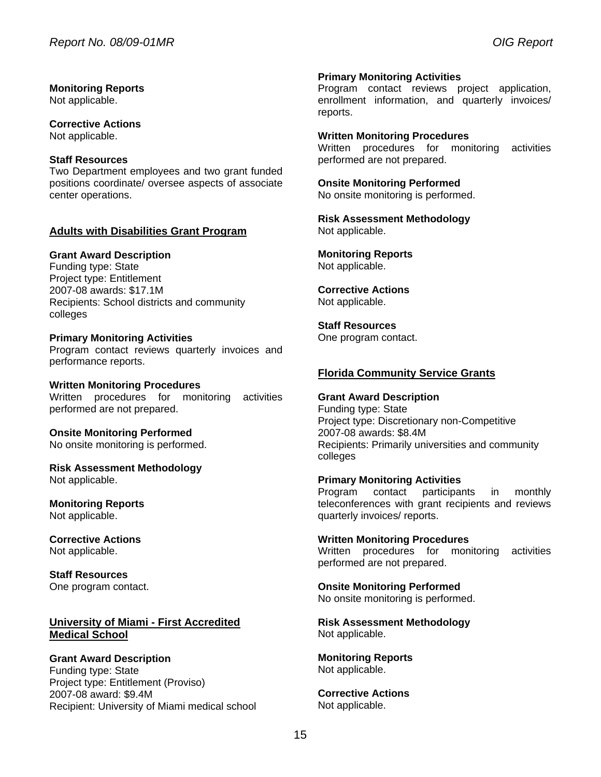#### **Monitoring Reports**

Not applicable.

**Corrective Actions**  Not applicable.

#### **Staff Resources**

Two Department employees and two grant funded positions coordinate/ oversee aspects of associate center operations.

#### **Adults with Disabilities Grant Program**

#### **Grant Award Description**

Funding type: State Project type: Entitlement 2007-08 awards: \$17.1M Recipients: School districts and community colleges

#### **Primary Monitoring Activities**

Program contact reviews quarterly invoices and performance reports.

#### **Written Monitoring Procedures**  Written procedures for monitoring activities performed are not prepared.

**Onsite Monitoring Performed**  No onsite monitoring is performed.

**Risk Assessment Methodology**  Not applicable.

**Monitoring Reports**  Not applicable.

**Corrective Actions**  Not applicable.

**Staff Resources**  One program contact.

#### **University of Miami - First Accredited Medical School**

#### **Grant Award Description**

Funding type: State Project type: Entitlement (Proviso) 2007-08 award: \$9.4M Recipient: University of Miami medical school

#### **Primary Monitoring Activities**

Program contact reviews project application, enrollment information, and quarterly invoices/ reports.

#### **Written Monitoring Procedures**

Written procedures for monitoring activities performed are not prepared.

### **Onsite Monitoring Performed**

No onsite monitoring is performed.

**Risk Assessment Methodology**  Not applicable.

**Monitoring Reports**  Not applicable.

**Corrective Actions**  Not applicable.

**Staff Resources**  One program contact.

#### **Florida Community Service Grants**

#### **Grant Award Description**

Funding type: State Project type: Discretionary non-Competitive 2007-08 awards: \$8.4M Recipients: Primarily universities and community colleges

#### **Primary Monitoring Activities**

Program contact participants in monthly teleconferences with grant recipients and reviews quarterly invoices/ reports.

**Written Monitoring Procedures**  Written procedures for monitoring activities performed are not prepared.

**Onsite Monitoring Performed**  No onsite monitoring is performed.

**Risk Assessment Methodology**  Not applicable.

**Monitoring Reports**  Not applicable.

**Corrective Actions**  Not applicable.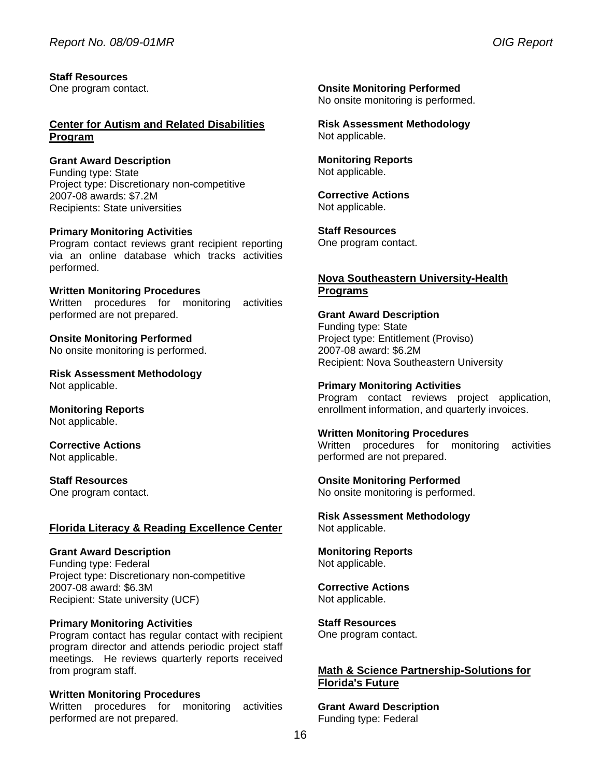**Staff Resources**  One program contact.

#### **Center for Autism and Related Disabilities Program**

**Grant Award Description**  Funding type: State Project type: Discretionary non-competitive 2007-08 awards: \$7.2M Recipients: State universities

#### **Primary Monitoring Activities**

Program contact reviews grant recipient reporting via an online database which tracks activities performed.

**Written Monitoring Procedures**  Written procedures for monitoring activities performed are not prepared.

**Onsite Monitoring Performed**  No onsite monitoring is performed.

**Risk Assessment Methodology**  Not applicable.

**Monitoring Reports**  Not applicable.

**Corrective Actions**  Not applicable.

**Staff Resources**  One program contact.

#### **Florida Literacy & Reading Excellence Center**

**Grant Award Description**  Funding type: Federal Project type: Discretionary non-competitive 2007-08 award: \$6.3M Recipient: State university (UCF)

#### **Primary Monitoring Activities**

 from program staff. Program contact has regular contact with recipient program director and attends periodic project staff meetings. He reviews quarterly reports received

#### **Written Monitoring Procedures**

Written procedures for monitoring activities performed are not prepared.

**Onsite Monitoring Performed**  No onsite monitoring is performed.

**Risk Assessment Methodology**  Not applicable.

**Monitoring Reports**  Not applicable.

**Corrective Actions**  Not applicable.

**Staff Resources**  One program contact.

#### **Nova Southeastern University-Health Programs**

Funding type: State **Grant Award Description**  Project type: Entitlement (Proviso) 2007-08 award: \$6.2M Recipient: Nova Southeastern University

**Primary Monitoring Activities**  Program contact reviews project application, enrollment information, and quarterly invoices.

**Written Monitoring Procedures**  Written procedures for monitoring activities performed are not prepared.

#### **Onsite Monitoring Performed**

No onsite monitoring is performed.

**Risk Assessment Methodology**  Not applicable.

**Monitoring Reports**  Not applicable.

**Corrective Actions**  Not applicable.

**Staff Resources** 

One program contact.

#### **Math & Science Partnership-Solutions for Florida's Future**

**Grant Award Description**  Funding type: Federal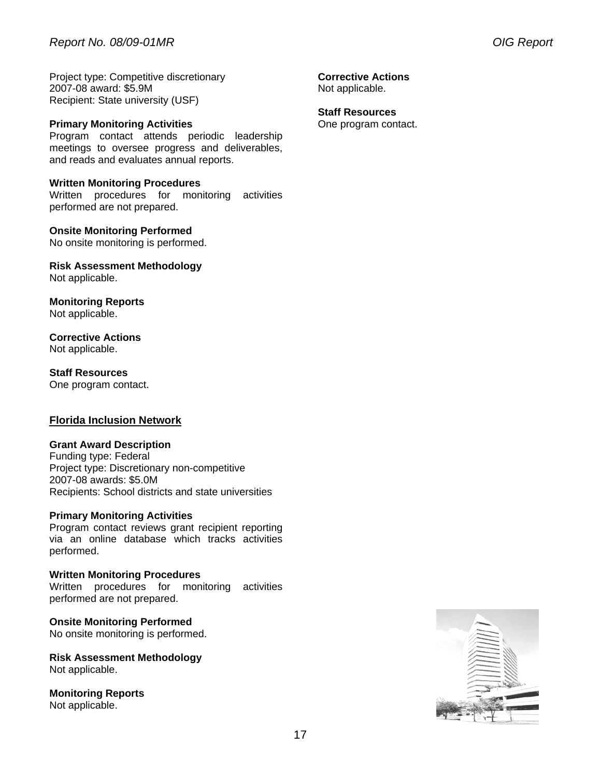Project type: Competitive discretionary 2007-08 award: \$5.9M Recipient: State university (USF)

#### **Primary Monitoring Activities**

Program contact attends periodic leadership meetings to oversee progress and deliverables, and reads and evaluates annual reports.

#### **Written Monitoring Procedures**

Written procedures for monitoring activities performed are not prepared.

#### **Onsite Monitoring Performed**

No onsite monitoring is performed.

**Risk Assessment Methodology**  Not applicable.

**Monitoring Reports**  Not applicable.

**Corrective Actions**  Not applicable.

**Staff Resources**  One program contact.

#### **Florida Inclusion Network**

#### **Grant Award Description**

Funding type: Federal Project type: Discretionary non-competitive 2007-08 awards: \$5.0M Recipients: School districts and state universities

#### **Primary Monitoring Activities**

Program contact reviews grant recipient reporting via an online database which tracks activities performed.

**Written Monitoring Procedures**  Written procedures for monitoring activities performed are not prepared.

**Onsite Monitoring Performed**  No onsite monitoring is performed.

**Risk Assessment Methodology**  Not applicable.

**Monitoring Reports**  Not applicable.

**Corrective Actions**  Not applicable.

#### **Staff Resources**

One program contact.

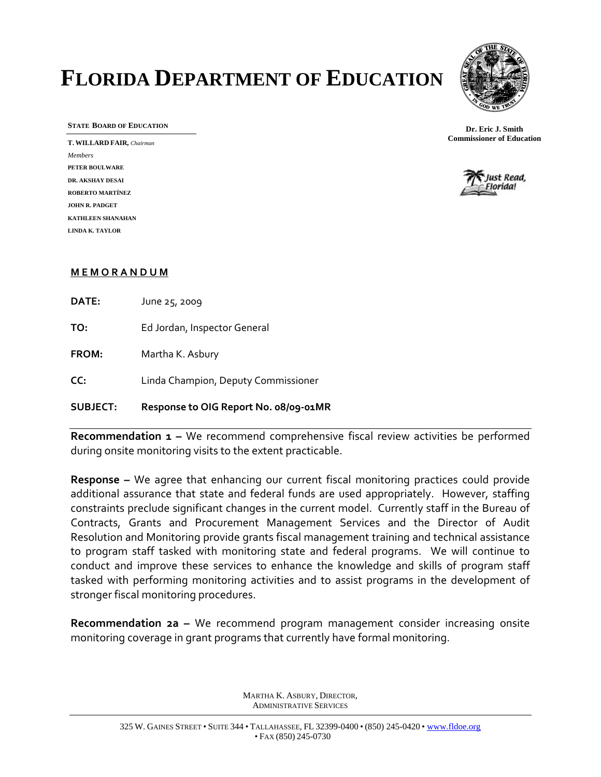# **FLORIDA DEPARTMENT OF EDUCATION**



**STATE BOARD OF EDUCATION** 

**T. WILLARD FAIR,** *Chairman Members* **PETER BOULWARE DR. AKSHAY DESAI ROBERTO MARTÍNEZ JOHN R. PADGET KATHLEEN SHANAHAN LINDA K. TAYLOR** 





#### **M E M O R A N D U M**

**DATE:** June 25, 2009

**TO:** Ed Jordan, Inspector General

**FROM:** Martha K. Asbury

**CC:** Linda Champion, Deputy Commissioner

### **SUBJECT: Response to OIG Report No. 08/09‐01MR**

**Recommendation 1 –** We recommend comprehensive fiscal review activities be performed during onsite monitoring visits to the extent practicable.

**Response –** We agree that enhancing our current fiscal monitoring practices could provide additional assurance that state and federal funds are used appropriately. However, staffing constraints preclude significant changes in the current model. Currently staff in the Bureau of Contracts, Grants and Procurement Management Services and the Director of Audit Resolution and Monitoring provide grants fiscal management training and technical assistance to program staff tasked with monitoring state and federal programs. We will continue to conduct and improve these services to enhance the knowledge and skills of program staff tasked with performing monitoring activities and to assist programs in the development of stronger fiscal monitoring procedures.

**Recommendation 2a –** We recommend program management consider increasing onsite monitoring coverage in grant programs that currently have formal monitoring.

> MARTHA K. ASBURY, DIRECTOR, ADMINISTRATIVE SERVICES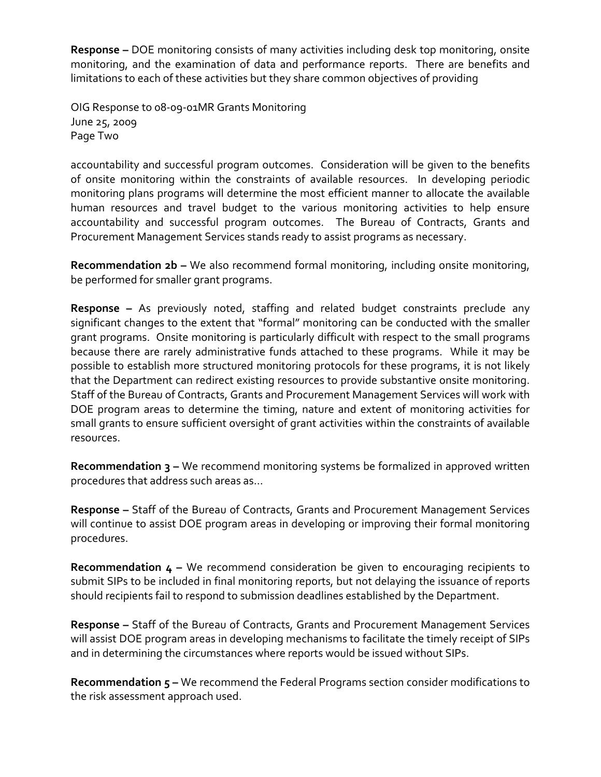**Response –** DOE monitoring consists of many activities including desk top monitoring, onsite monitoring, and the examination of data and performance reports. There are benefits and limitations to each of these activities but they share common objectives of providing

OIG Response to 08‐09‐01MR Grants Monitoring June 25, 2009 Page Two

accountability and successful program outcomes. Consideration will be given to the benefits of onsite monitoring within the constraints of available resources. In developing periodic monitoring plans programs will determine the most efficient manner to allocate the available human resources and travel budget to the various monitoring activities to help ensure accountability and successful program outcomes. The Bureau of Contracts, Grants and Procurement Management Services stands ready to assist programs as necessary.

**Recommendation 2b –** We also recommend formal monitoring, including onsite monitoring, be performed for smaller grant programs.

**Response –** As previously noted, staffing and related budget constraints preclude any significant changes to the extent that "formal" monitoring can be conducted with the smaller grant programs. Onsite monitoring is particularly difficult with respect to the small programs because there are rarely administrative funds attached to these programs. While it may be possible to establish more structured monitoring protocols for these programs, it is not likely that the Department can redirect existing resources to provide substantive onsite monitoring. Staff of the Bureau of Contracts, Grants and Procurement Management Services will work with DOE program areas to determine the timing, nature and extent of monitoring activities for small grants to ensure sufficient oversight of grant activities within the constraints of available resources.

**Recommendation 3 –** We recommend monitoring systems be formalized in approved written procedures that address such areas as…

**Response –** Staff of the Bureau of Contracts, Grants and Procurement Management Services will continue to assist DOE program areas in developing or improving their formal monitoring procedures.

**Recommendation 4 –** We recommend consideration be given to encouraging recipients to submit SIPs to be included in final monitoring reports, but not delaying the issuance of reports should recipients fail to respond to submission deadlines established by the Department.

**Response –** Staff of the Bureau of Contracts, Grants and Procurement Management Services will assist DOE program areas in developing mechanisms to facilitate the timely receipt of SIPs and in determining the circumstances where reports would be issued without SIPs.

**Recommendation 5 –** We recommend the Federal Programs section consider modifications to the risk assessment approach used.